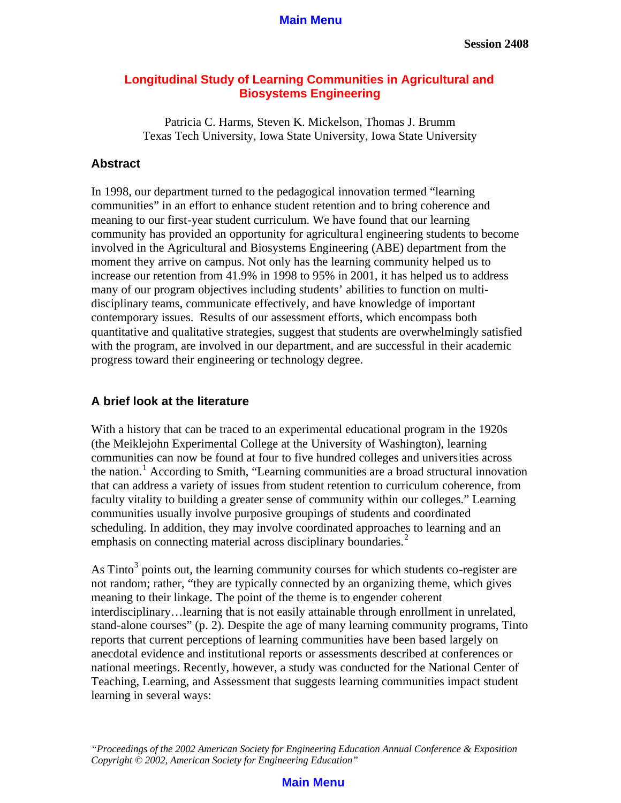### **Longitudinal Study of Learning Communities in Agricultural and Biosystems Engineering**

Patricia C. Harms, Steven K. Mickelson, Thomas J. Brumm Texas Tech University, Iowa State University, Iowa State University

### **Abstract**

In 1998, our department turned to the pedagogical innovation termed "learning communities" in an effort to enhance student retention and to bring coherence and meaning to our first-year student curriculum. We have found that our learning community has provided an opportunity for agricultural engineering students to become involved in the Agricultural and Biosystems Engineering (ABE) department from the moment they arrive on campus. Not only has the learning community helped us to increase our retention from 41.9% in 1998 to 95% in 2001, it has helped us to address many of our program objectives including students' abilities to function on multidisciplinary teams, communicate effectively, and have knowledge of important contemporary issues. Results of our assessment efforts, which encompass both quantitative and qualitative strategies, suggest that students are overwhelmingly satisfied with the program, are involved in our department, and are successful in their academic progress toward their engineering or technology degree.

### **A brief look at the literature**

With a history that can be traced to an experimental educational program in the 1920s (the Meiklejohn Experimental College at the University of Washington), learning communities can now be found at four to five hundred colleges and universities across the nation.<sup>1</sup> According to Smith, "Learning communities are a broad structural innovation that can address a variety of issues from student retention to curriculum coherence, from faculty vitality to building a greater sense of community within our colleges." Learning communities usually involve purposive groupings of students and coordinated scheduling. In addition, they may involve coordinated approaches to learning and an emphasis on connecting material across disciplinary boundaries.<sup>2</sup>

As Tinto<sup>3</sup> points out, the learning community courses for which students co-register are not random; rather, "they are typically connected by an organizing theme, which gives meaning to their linkage. The point of the theme is to engender coherent interdisciplinary…learning that is not easily attainable through enrollment in unrelated, stand-alone courses" (p. 2). Despite the age of many learning community programs, Tinto reports that current perceptions of learning communities have been based largely on anecdotal evidence and institutional reports or assessments described at conferences or national meetings. Recently, however, a study was conducted for the National Center of Teaching, Learning, and Assessment that suggests learning communities impact student learning in several ways:

*"Proceedings of the 2002 American Society for Engineering Education Annual Conference & Exposition Copyright © 2002, American Society for Engineering Education"*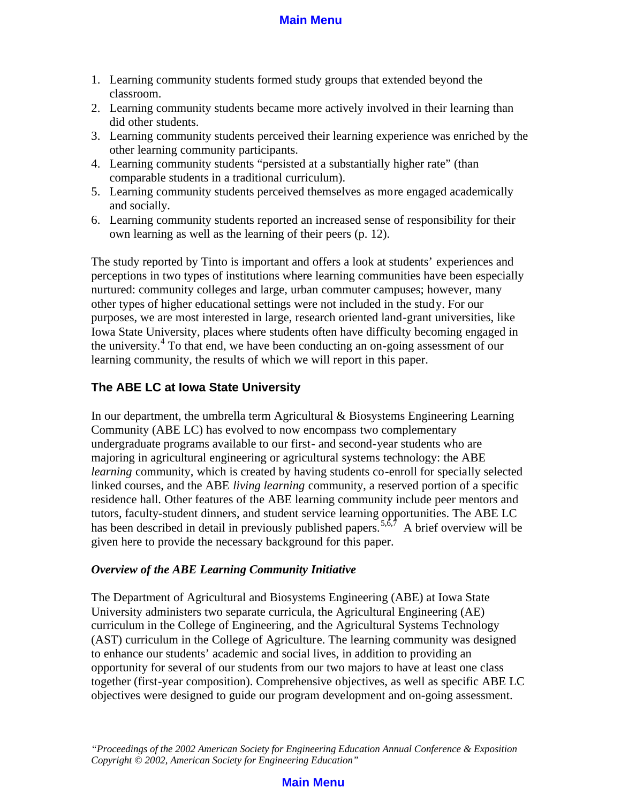- 1. Learning community students formed study groups that extended beyond the classroom.
- 2. Learning community students became more actively involved in their learning than did other students.
- 3. Learning community students perceived their learning experience was enriched by the other learning community participants.
- 4. Learning community students "persisted at a substantially higher rate" (than comparable students in a traditional curriculum).
- 5. Learning community students perceived themselves as more engaged academically and socially.
- 6. Learning community students reported an increased sense of responsibility for their own learning as well as the learning of their peers (p. 12).

The study reported by Tinto is important and offers a look at students' experiences and perceptions in two types of institutions where learning communities have been especially nurtured: community colleges and large, urban commuter campuses; however, many other types of higher educational settings were not included in the study. For our purposes, we are most interested in large, research oriented land-grant universities, like Iowa State University, places where students often have difficulty becoming engaged in the university.<sup>4</sup> To that end, we have been conducting an on-going assessment of our learning community, the results of which we will report in this paper.

## **The ABE LC at Iowa State University**

In our department, the umbrella term Agricultural & Biosystems Engineering Learning Community (ABE LC) has evolved to now encompass two complementary undergraduate programs available to our first- and second-year students who are majoring in agricultural engineering or agricultural systems technology: the ABE *learning* community, which is created by having students co-enroll for specially selected linked courses, and the ABE *living learning* community, a reserved portion of a specific residence hall. Other features of the ABE learning community include peer mentors and tutors, faculty-student dinners, and student service learning opportunities. The ABE LC has been described in detail in previously published papers.<sup>5,6,7</sup> A brief overview will be given here to provide the necessary background for this paper.

### *Overview of the ABE Learning Community Initiative*

The Department of Agricultural and Biosystems Engineering (ABE) at Iowa State University administers two separate curricula, the Agricultural Engineering (AE) curriculum in the College of Engineering, and the Agricultural Systems Technology (AST) curriculum in the College of Agriculture. The learning community was designed to enhance our students' academic and social lives, in addition to providing an opportunity for several of our students from our two majors to have at least one class together (first-year composition). Comprehensive objectives, as well as specific ABE LC objectives were designed to guide our program development and on-going assessment.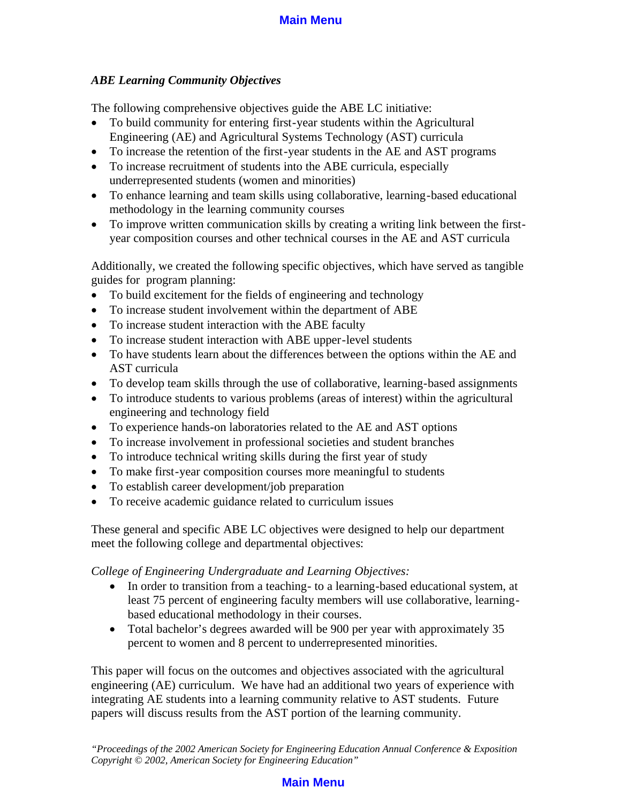## *ABE Learning Community Objectives*

The following comprehensive objectives guide the ABE LC initiative:

- · To build community for entering first-year students within the Agricultural Engineering (AE) and Agricultural Systems Technology (AST) curricula
- To increase the retention of the first-year students in the AE and AST programs
- · To increase recruitment of students into the ABE curricula, especially underrepresented students (women and minorities)
- · To enhance learning and team skills using collaborative, learning-based educational methodology in the learning community courses
- · To improve written communication skills by creating a writing link between the firstyear composition courses and other technical courses in the AE and AST curricula

Additionally, we created the following specific objectives, which have served as tangible guides for program planning:

- To build excitement for the fields of engineering and technology
- To increase student involvement within the department of ABE
- To increase student interaction with the ABE faculty
- · To increase student interaction with ABE upper-level students
- · To have students learn about the differences between the options within the AE and AST curricula
- To develop team skills through the use of collaborative, learning-based assignments
- To introduce students to various problems (areas of interest) within the agricultural engineering and technology field
- · To experience hands-on laboratories related to the AE and AST options
- · To increase involvement in professional societies and student branches
- To introduce technical writing skills during the first year of study
- · To make first-year composition courses more meaningful to students
- To establish career development/job preparation
- · To receive academic guidance related to curriculum issues

These general and specific ABE LC objectives were designed to help our department meet the following college and departmental objectives:

*College of Engineering Undergraduate and Learning Objectives:*

- In order to transition from a teaching-to a learning-based educational system, at least 75 percent of engineering faculty members will use collaborative, learningbased educational methodology in their courses.
- Total bachelor's degrees awarded will be 900 per year with approximately 35 percent to women and 8 percent to underrepresented minorities.

This paper will focus on the outcomes and objectives associated with the agricultural engineering (AE) curriculum. We have had an additional two years of experience with integrating AE students into a learning community relative to AST students. Future papers will discuss results from the AST portion of the learning community.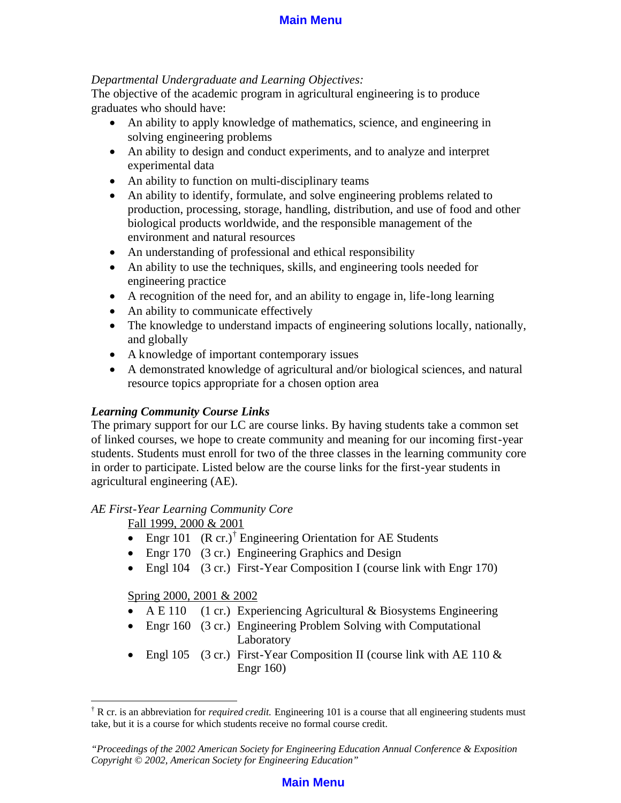### *Departmental Undergraduate and Learning Objectives:*

The objective of the academic program in agricultural engineering is to produce graduates who should have:

- An ability to apply knowledge of mathematics, science, and engineering in solving engineering problems
- An ability to design and conduct experiments, and to analyze and interpret experimental data
- An ability to function on multi-disciplinary teams
- An ability to identify, formulate, and solve engineering problems related to production, processing, storage, handling, distribution, and use of food and other biological products worldwide, and the responsible management of the environment and natural resources
- An understanding of professional and ethical responsibility
- An ability to use the techniques, skills, and engineering tools needed for engineering practice
- · A recognition of the need for, and an ability to engage in, life-long learning
- An ability to communicate effectively
- · The knowledge to understand impacts of engineering solutions locally, nationally, and globally
- A knowledge of important contemporary issues
- · A demonstrated knowledge of agricultural and/or biological sciences, and natural resource topics appropriate for a chosen option area

### *Learning Community Course Links*

The primary support for our LC are course links. By having students take a common set of linked courses, we hope to create community and meaning for our incoming first-year students. Students must enroll for two of the three classes in the learning community core in order to participate. Listed below are the course links for the first-year students in agricultural engineering (AE).

#### *AE First-Year Learning Community Core*

Fall 1999, 2000 & 2001

- Engr 101  $(R \text{ cr.})^{\dagger}$  Engineering Orientation for AE Students
- Engr 170 (3 cr.) Engineering Graphics and Design
- Engl 104 (3 cr.) First-Year Composition I (course link with Engr 170)

#### Spring 2000, 2001 & 2002

 $\overline{a}$ 

- A E 110 (1 cr.) Experiencing Agricultural & Biosystems Engineering
- Engr 160 (3 cr.) Engineering Problem Solving with Computational Laboratory
- Engl 105 (3 cr.) First-Year Composition II (course link with AE 110  $\&$ Engr 160)

<sup>†</sup> R cr. is an abbreviation for *required credit.* Engineering 101 is a course that all engineering students must take, but it is a course for which students receive no formal course credit.

*<sup>&</sup>quot;Proceedings of the 2002 American Society for Engineering Education Annual Conference & Exposition Copyright © 2002, American Society for Engineering Education"*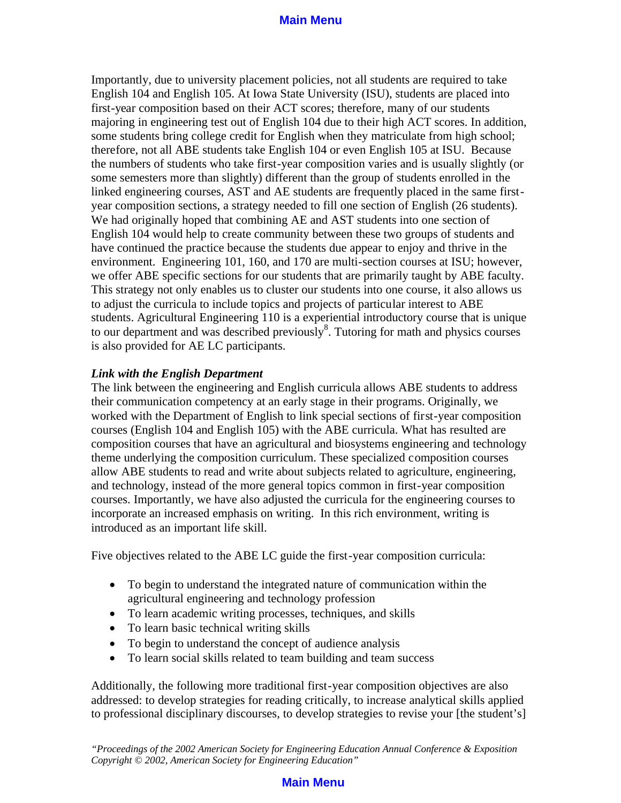Importantly, due to university placement policies, not all students are required to take English 104 and English 105. At Iowa State University (ISU), students are placed into first-year composition based on their ACT scores; therefore, many of our students majoring in engineering test out of English 104 due to their high ACT scores. In addition, some students bring college credit for English when they matriculate from high school; therefore, not all ABE students take English 104 or even English 105 at ISU. Because the numbers of students who take first-year composition varies and is usually slightly (or some semesters more than slightly) different than the group of students enrolled in the linked engineering courses, AST and AE students are frequently placed in the same firstyear composition sections, a strategy needed to fill one section of English (26 students). We had originally hoped that combining AE and AST students into one section of English 104 would help to create community between these two groups of students and have continued the practice because the students due appear to enjoy and thrive in the environment. Engineering 101, 160, and 170 are multi-section courses at ISU; however, we offer ABE specific sections for our students that are primarily taught by ABE faculty. This strategy not only enables us to cluster our students into one course, it also allows us to adjust the curricula to include topics and projects of particular interest to ABE students. Agricultural Engineering 110 is a experiential introductory course that is unique to our department and was described previously<sup>8</sup>. Tutoring for math and physics courses is also provided for AE LC participants.

### *Link with the English Department*

The link between the engineering and English curricula allows ABE students to address their communication competency at an early stage in their programs. Originally, we worked with the Department of English to link special sections of first-year composition courses (English 104 and English 105) with the ABE curricula. What has resulted are composition courses that have an agricultural and biosystems engineering and technology theme underlying the composition curriculum. These specialized composition courses allow ABE students to read and write about subjects related to agriculture, engineering, and technology, instead of the more general topics common in first-year composition courses. Importantly, we have also adjusted the curricula for the engineering courses to incorporate an increased emphasis on writing. In this rich environment, writing is introduced as an important life skill.

Five objectives related to the ABE LC guide the first-year composition curricula:

- · To begin to understand the integrated nature of communication within the agricultural engineering and technology profession
- · To learn academic writing processes, techniques, and skills
- To learn basic technical writing skills
- To begin to understand the concept of audience analysis
- · To learn social skills related to team building and team success

Additionally, the following more traditional first-year composition objectives are also addressed: to develop strategies for reading critically, to increase analytical skills applied to professional disciplinary discourses, to develop strategies to revise your [the student's]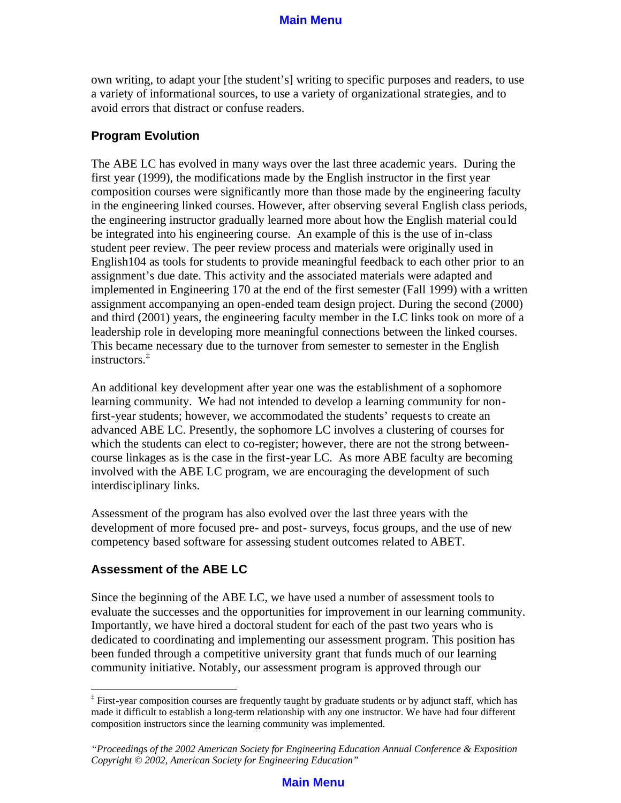own writing, to adapt your [the student's] writing to specific purposes and readers, to use a variety of informational sources, to use a variety of organizational strategies, and to avoid errors that distract or confuse readers.

### **Program Evolution**

The ABE LC has evolved in many ways over the last three academic years. During the first year (1999), the modifications made by the English instructor in the first year composition courses were significantly more than those made by the engineering faculty in the engineering linked courses. However, after observing several English class periods, the engineering instructor gradually learned more about how the English material could be integrated into his engineering course. An example of this is the use of in-class student peer review. The peer review process and materials were originally used in English104 as tools for students to provide meaningful feedback to each other prior to an assignment's due date. This activity and the associated materials were adapted and implemented in Engineering 170 at the end of the first semester (Fall 1999) with a written assignment accompanying an open-ended team design project. During the second (2000) and third (2001) years, the engineering faculty member in the LC links took on more of a leadership role in developing more meaningful connections between the linked courses. This became necessary due to the turnover from semester to semester in the English instructors.‡

An additional key development after year one was the establishment of a sophomore learning community. We had not intended to develop a learning community for nonfirst-year students; however, we accommodated the students' requests to create an advanced ABE LC. Presently, the sophomore LC involves a clustering of courses for which the students can elect to co-register; however, there are not the strong betweencourse linkages as is the case in the first-year LC. As more ABE faculty are becoming involved with the ABE LC program, we are encouraging the development of such interdisciplinary links.

Assessment of the program has also evolved over the last three years with the development of more focused pre- and post- surveys, focus groups, and the use of new competency based software for assessing student outcomes related to ABET.

## **Assessment of the ABE LC**

Since the beginning of the ABE LC, we have used a number of assessment tools to evaluate the successes and the opportunities for improvement in our learning community. Importantly, we have hired a doctoral student for each of the past two years who is dedicated to coordinating and implementing our assessment program. This position has been funded through a competitive university grant that funds much of our learning community initiative. Notably, our assessment program is approved through our

<sup>‡</sup> First-year composition courses are frequently taught by graduate students or by adjunct staff, which has made it difficult to establish a long-term relationship with any one instructor. We have had four different composition instructors since the learning community was implemented.

*<sup>&</sup>quot;Proceedings of the 2002 American Society for Engineering Education Annual Conference & Exposition Copyright © 2002, American Society for Engineering Education"*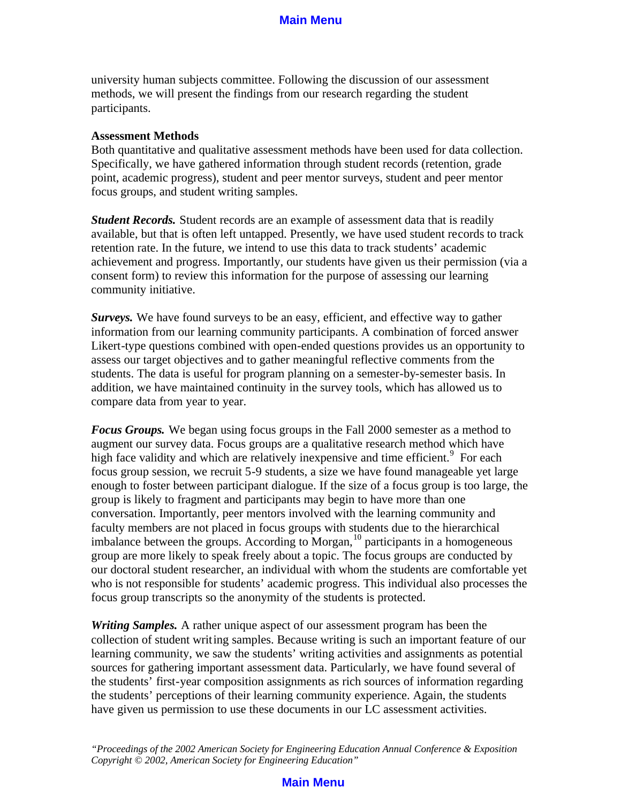university human subjects committee. Following the discussion of our assessment methods, we will present the findings from our research regarding the student participants.

#### **Assessment Methods**

Both quantitative and qualitative assessment methods have been used for data collection. Specifically, we have gathered information through student records (retention, grade point, academic progress), student and peer mentor surveys, student and peer mentor focus groups, and student writing samples.

*Student Records.* Student records are an example of assessment data that is readily available, but that is often left untapped. Presently, we have used student records to track retention rate. In the future, we intend to use this data to track students' academic achievement and progress. Importantly, our students have given us their permission (via a consent form) to review this information for the purpose of assessing our learning community initiative.

*Surveys.* We have found surveys to be an easy, efficient, and effective way to gather information from our learning community participants. A combination of forced answer Likert-type questions combined with open-ended questions provides us an opportunity to assess our target objectives and to gather meaningful reflective comments from the students. The data is useful for program planning on a semester-by-semester basis. In addition, we have maintained continuity in the survey tools, which has allowed us to compare data from year to year.

*Focus Groups.* We began using focus groups in the Fall 2000 semester as a method to augment our survey data. Focus groups are a qualitative research method which have high face validity and which are relatively inexpensive and time efficient.<sup>9</sup> For each focus group session, we recruit 5-9 students, a size we have found manageable yet large enough to foster between participant dialogue. If the size of a focus group is too large, the group is likely to fragment and participants may begin to have more than one conversation. Importantly, peer mentors involved with the learning community and faculty members are not placed in focus groups with students due to the hierarchical imbalance between the groups. According to Morgan,  $^{10}$  participants in a homogeneous group are more likely to speak freely about a topic. The focus groups are conducted by our doctoral student researcher, an individual with whom the students are comfortable yet who is not responsible for students' academic progress. This individual also processes the focus group transcripts so the anonymity of the students is protected.

*Writing Samples.* A rather unique aspect of our assessment program has been the collection of student writing samples. Because writing is such an important feature of our learning community, we saw the students' writing activities and assignments as potential sources for gathering important assessment data. Particularly, we have found several of the students' first-year composition assignments as rich sources of information regarding the students' perceptions of their learning community experience. Again, the students have given us permission to use these documents in our LC assessment activities.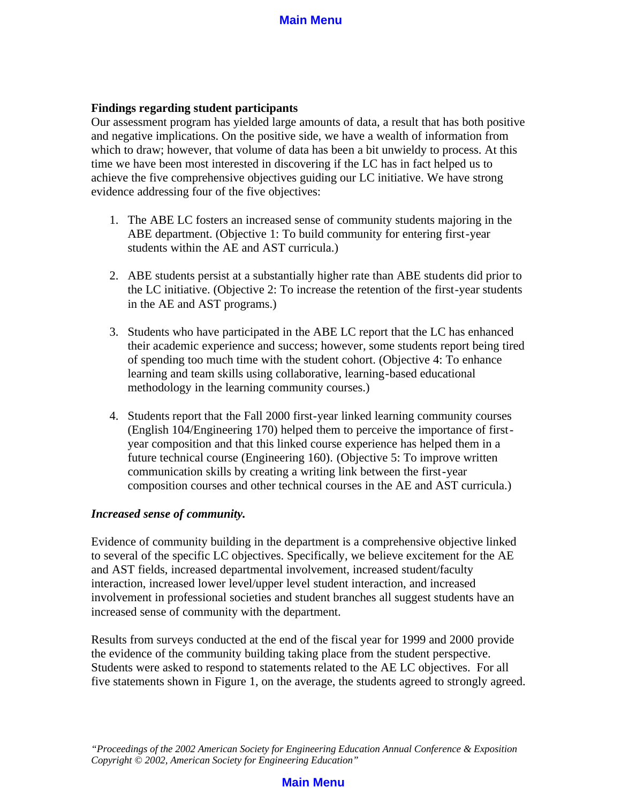### **Findings regarding student participants**

Our assessment program has yielded large amounts of data, a result that has both positive and negative implications. On the positive side, we have a wealth of information from which to draw; however, that volume of data has been a bit unwieldy to process. At this time we have been most interested in discovering if the LC has in fact helped us to achieve the five comprehensive objectives guiding our LC initiative. We have strong evidence addressing four of the five objectives:

- 1. The ABE LC fosters an increased sense of community students majoring in the ABE department. (Objective 1: To build community for entering first-year students within the AE and AST curricula.)
- 2. ABE students persist at a substantially higher rate than ABE students did prior to the LC initiative. (Objective 2: To increase the retention of the first-year students in the AE and AST programs.)
- 3. Students who have participated in the ABE LC report that the LC has enhanced their academic experience and success; however, some students report being tired of spending too much time with the student cohort. (Objective 4: To enhance learning and team skills using collaborative, learning-based educational methodology in the learning community courses.)
- 4. Students report that the Fall 2000 first-year linked learning community courses (English 104/Engineering 170) helped them to perceive the importance of firstyear composition and that this linked course experience has helped them in a future technical course (Engineering 160). (Objective 5: To improve written communication skills by creating a writing link between the first-year composition courses and other technical courses in the AE and AST curricula.)

#### *Increased sense of community.*

Evidence of community building in the department is a comprehensive objective linked to several of the specific LC objectives. Specifically, we believe excitement for the AE and AST fields, increased departmental involvement, increased student/faculty interaction, increased lower level/upper level student interaction, and increased involvement in professional societies and student branches all suggest students have an increased sense of community with the department.

Results from surveys conducted at the end of the fiscal year for 1999 and 2000 provide the evidence of the community building taking place from the student perspective. Students were asked to respond to statements related to the AE LC objectives. For all five statements shown in Figure 1, on the average, the students agreed to strongly agreed.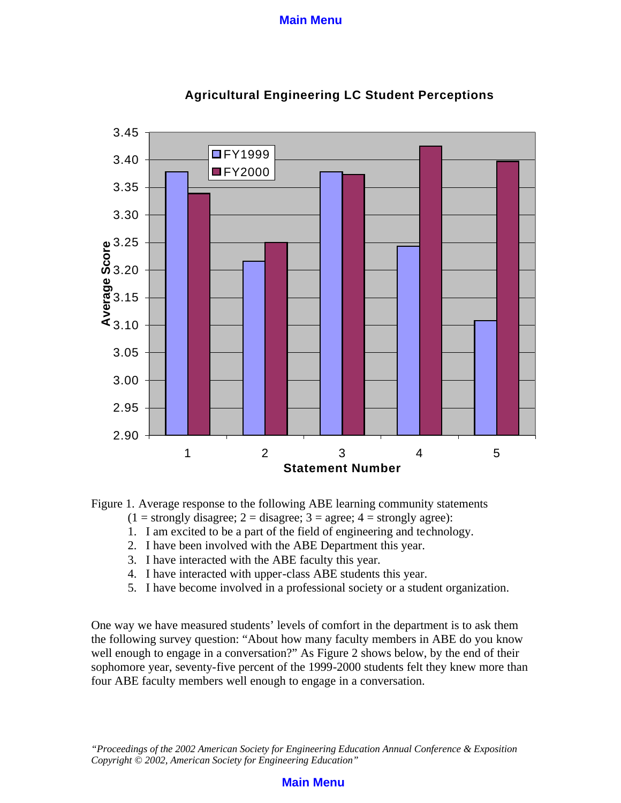



Figure 1. Average response to the following ABE learning community statements

- $(1 =$  strongly disagree;  $2 =$  disagree;  $3 =$  agree;  $4 =$  strongly agree):
- 1. I am excited to be a part of the field of engineering and technology.
- 2. I have been involved with the ABE Department this year.
- 3. I have interacted with the ABE faculty this year.
- 4. I have interacted with upper-class ABE students this year.
- 5. I have become involved in a professional society or a student organization.

One way we have measured students' levels of comfort in the department is to ask them the following survey question: "About how many faculty members in ABE do you know well enough to engage in a conversation?" As Figure 2 shows below, by the end of their sophomore year, seventy-five percent of the 1999-2000 students felt they knew more than four ABE faculty members well enough to engage in a conversation.

*"Proceedings of the 2002 American Society for Engineering Education Annual Conference & Exposition Copyright © 2002, American Society for Engineering Education"*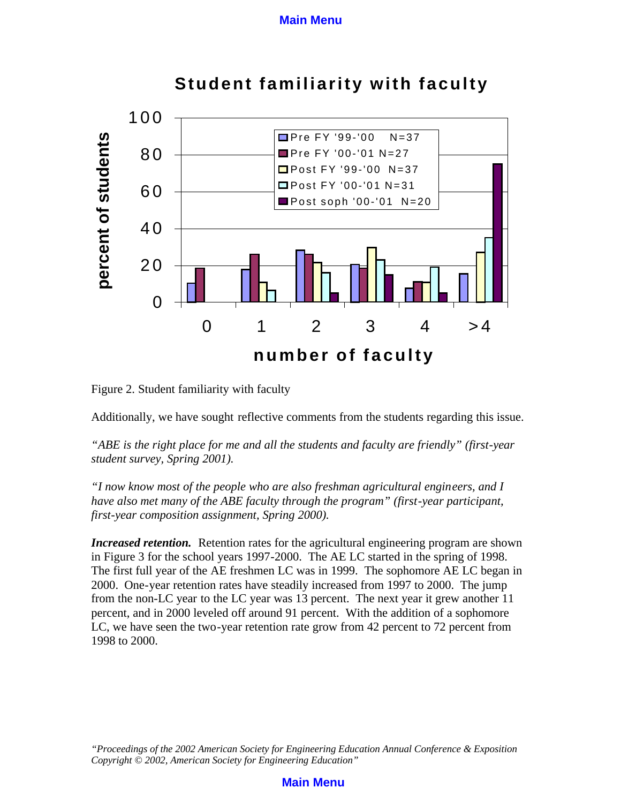

**Student familiarity with faculty**

Figure 2. Student familiarity with faculty

Additionally, we have sought reflective comments from the students regarding this issue.

*"ABE is the right place for me and all the students and faculty are friendly" (first-year student survey, Spring 2001).* 

*"I now know most of the people who are also freshman agricultural engineers, and I have also met many of the ABE faculty through the program" (first-year participant, first-year composition assignment, Spring 2000).*

*Increased retention.* Retention rates for the agricultural engineering program are shown in Figure 3 for the school years 1997-2000. The AE LC started in the spring of 1998. The first full year of the AE freshmen LC was in 1999. The sophomore AE LC began in 2000. One-year retention rates have steadily increased from 1997 to 2000. The jump from the non-LC year to the LC year was 13 percent. The next year it grew another 11 percent, and in 2000 leveled off around 91 percent. With the addition of a sophomore LC, we have seen the two-year retention rate grow from 42 percent to 72 percent from 1998 to 2000.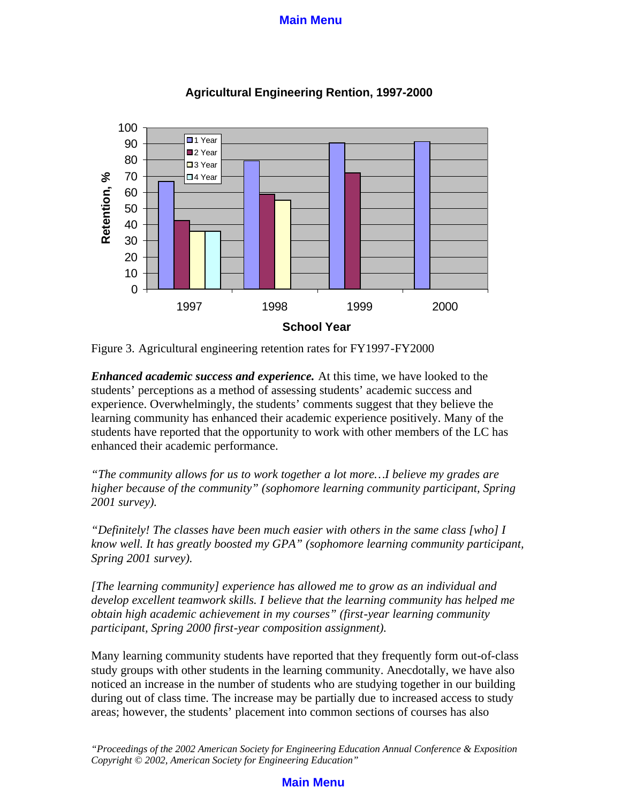

## **Agricultural Engineering Rention, 1997-2000**

Figure 3. Agricultural engineering retention rates for FY1997-FY2000

*Enhanced academic success and experience.* At this time, we have looked to the students' perceptions as a method of assessing students' academic success and experience. Overwhelmingly, the students' comments suggest that they believe the learning community has enhanced their academic experience positively. Many of the students have reported that the opportunity to work with other members of the LC has enhanced their academic performance.

*"The community allows for us to work together a lot more…I believe my grades are higher because of the community" (sophomore learning community participant, Spring 2001 survey).*

*"Definitely! The classes have been much easier with others in the same class [who] I know well. It has greatly boosted my GPA" (sophomore learning community participant, Spring 2001 survey).*

*[The learning community] experience has allowed me to grow as an individual and develop excellent teamwork skills. I believe that the learning community has helped me obtain high academic achievement in my courses" (first-year learning community participant, Spring 2000 first-year composition assignment).*

Many learning community students have reported that they frequently form out-of-class study groups with other students in the learning community. Anecdotally, we have also noticed an increase in the number of students who are studying together in our building during out of class time. The increase may be partially due to increased access to study areas; however, the students' placement into common sections of courses has also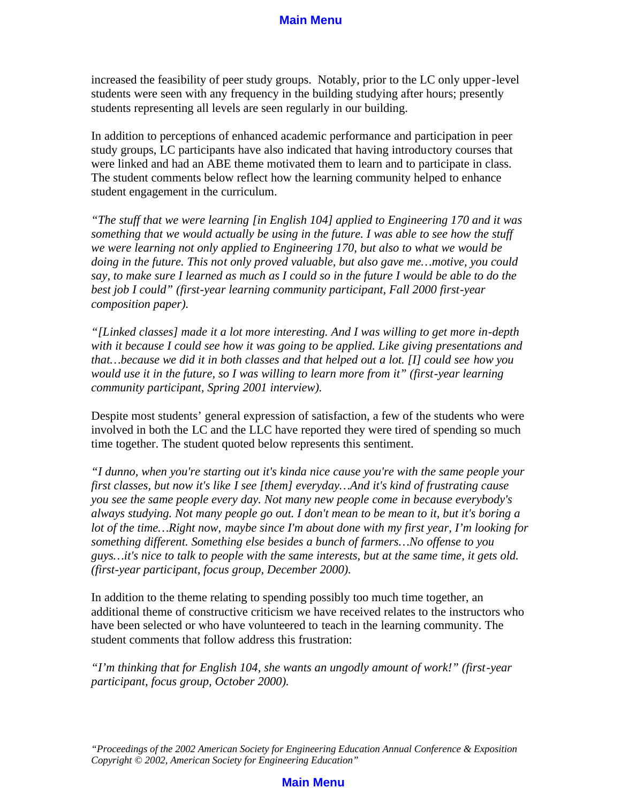increased the feasibility of peer study groups. Notably, prior to the LC only upper-level students were seen with any frequency in the building studying after hours; presently students representing all levels are seen regularly in our building.

In addition to perceptions of enhanced academic performance and participation in peer study groups, LC participants have also indicated that having introductory courses that were linked and had an ABE theme motivated them to learn and to participate in class. The student comments below reflect how the learning community helped to enhance student engagement in the curriculum.

*"The stuff that we were learning [in English 104] applied to Engineering 170 and it was something that we would actually be using in the future. I was able to see how the stuff we were learning not only applied to Engineering 170, but also to what we would be doing in the future. This not only proved valuable, but also gave me…motive, you could say, to make sure I learned as much as I could so in the future I would be able to do the best job I could" (first-year learning community participant, Fall 2000 first-year composition paper).*

*"[Linked classes] made it a lot more interesting. And I was willing to get more in-depth with it because I could see how it was going to be applied. Like giving presentations and that…because we did it in both classes and that helped out a lot. [I] could see how you would use it in the future, so I was willing to learn more from it" (first-year learning community participant, Spring 2001 interview).*

Despite most students' general expression of satisfaction, a few of the students who were involved in both the LC and the LLC have reported they were tired of spending so much time together. The student quoted below represents this sentiment.

*"I dunno, when you're starting out it's kinda nice cause you're with the same people your first classes, but now it's like I see [them] everyday…And it's kind of frustrating cause you see the same people every day. Not many new people come in because everybody's always studying. Not many people go out. I don't mean to be mean to it, but it's boring a lot of the time…Right now, maybe since I'm about done with my first year, I'm looking for something different. Something else besides a bunch of farmers…No offense to you guys…it's nice to talk to people with the same interests, but at the same time, it gets old. (first-year participant, focus group, December 2000).*

In addition to the theme relating to spending possibly too much time together, an additional theme of constructive criticism we have received relates to the instructors who have been selected or who have volunteered to teach in the learning community. The student comments that follow address this frustration:

*"I'm thinking that for English 104, she wants an ungodly amount of work!" (first-year participant, focus group, October 2000).*

*<sup>&</sup>quot;Proceedings of the 2002 American Society for Engineering Education Annual Conference & Exposition Copyright © 2002, American Society for Engineering Education"*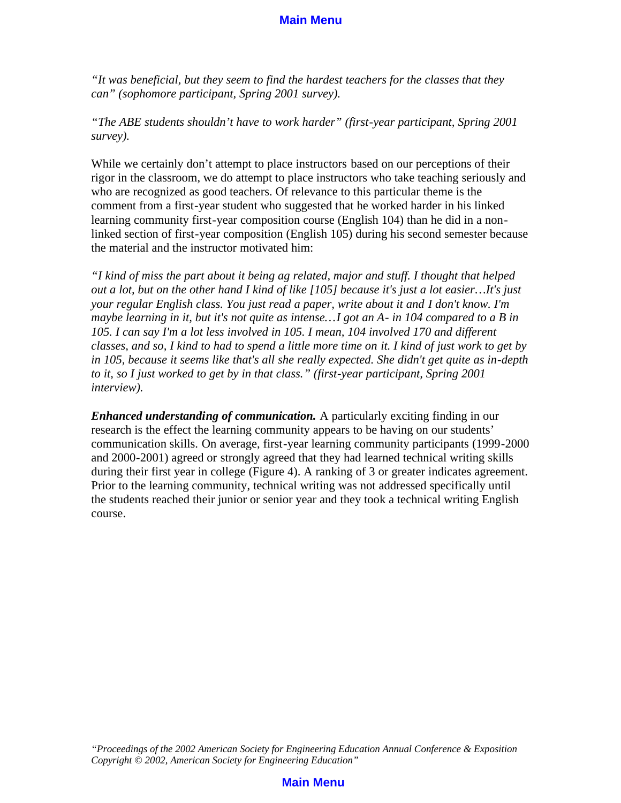*"It was beneficial, but they seem to find the hardest teachers for the classes that they can" (sophomore participant, Spring 2001 survey).*

*"The ABE students shouldn't have to work harder" (first-year participant, Spring 2001 survey).*

While we certainly don't attempt to place instructors based on our perceptions of their rigor in the classroom, we do attempt to place instructors who take teaching seriously and who are recognized as good teachers. Of relevance to this particular theme is the comment from a first-year student who suggested that he worked harder in his linked learning community first-year composition course (English 104) than he did in a nonlinked section of first-year composition (English 105) during his second semester because the material and the instructor motivated him:

*"I kind of miss the part about it being ag related, major and stuff. I thought that helped out a lot, but on the other hand I kind of like [105] because it's just a lot easier…It's just your regular English class. You just read a paper, write about it and I don't know. I'm maybe learning in it, but it's not quite as intense…I got an A- in 104 compared to a B in 105. I can say I'm a lot less involved in 105. I mean, 104 involved 170 and different classes, and so, I kind to had to spend a little more time on it. I kind of just work to get by in 105, because it seems like that's all she really expected. She didn't get quite as in-depth to it, so I just worked to get by in that class." (first-year participant, Spring 2001 interview).* 

*Enhanced understanding of communication.* A particularly exciting finding in our research is the effect the learning community appears to be having on our students' communication skills. On average, first-year learning community participants (1999-2000 and 2000-2001) agreed or strongly agreed that they had learned technical writing skills during their first year in college (Figure 4). A ranking of 3 or greater indicates agreement. Prior to the learning community, technical writing was not addressed specifically until the students reached their junior or senior year and they took a technical writing English course.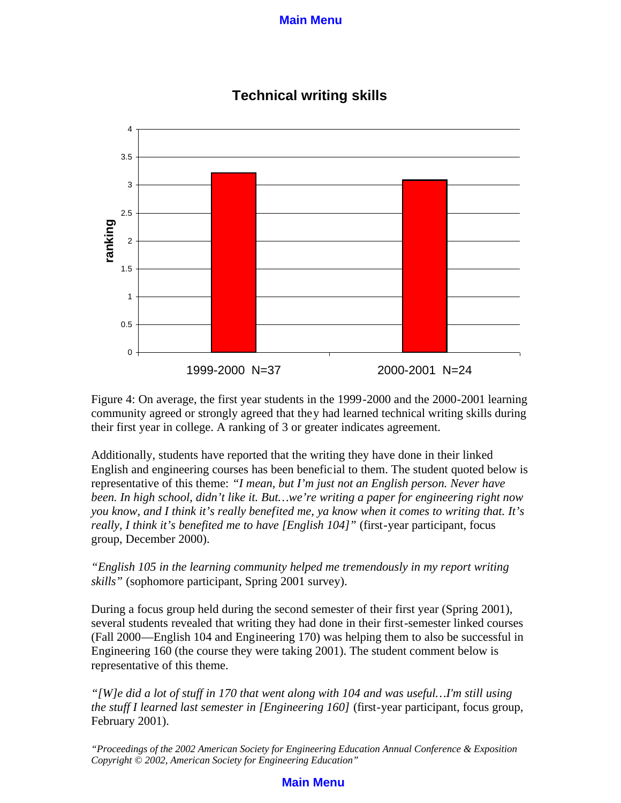

# **Technical writing skills**

Figure 4: On average, the first year students in the 1999-2000 and the 2000-2001 learning community agreed or strongly agreed that they had learned technical writing skills during their first year in college. A ranking of 3 or greater indicates agreement.

Additionally, students have reported that the writing they have done in their linked English and engineering courses has been beneficial to them. The student quoted below is representative of this theme: *"I mean, but I'm just not an English person. Never have been. In high school, didn't like it. But…we're writing a paper for engineering right now you know, and I think it's really benefited me, ya know when it comes to writing that. It's really, I think it's benefited me to have [English 104]"* (first-year participant, focus group, December 2000).

*"English 105 in the learning community helped me tremendously in my report writing skills"* (sophomore participant, Spring 2001 survey).

During a focus group held during the second semester of their first year (Spring 2001), several students revealed that writing they had done in their first-semester linked courses (Fall 2000—English 104 and Engineering 170) was helping them to also be successful in Engineering 160 (the course they were taking 2001). The student comment below is representative of this theme.

*"[W]e did a lot of stuff in 170 that went along with 104 and was useful…I'm still using the stuff I learned last semester in [Engineering 160]* (first-year participant, focus group, February 2001).

*"Proceedings of the 2002 American Society for Engineering Education Annual Conference & Exposition Copyright © 2002, American Society for Engineering Education"*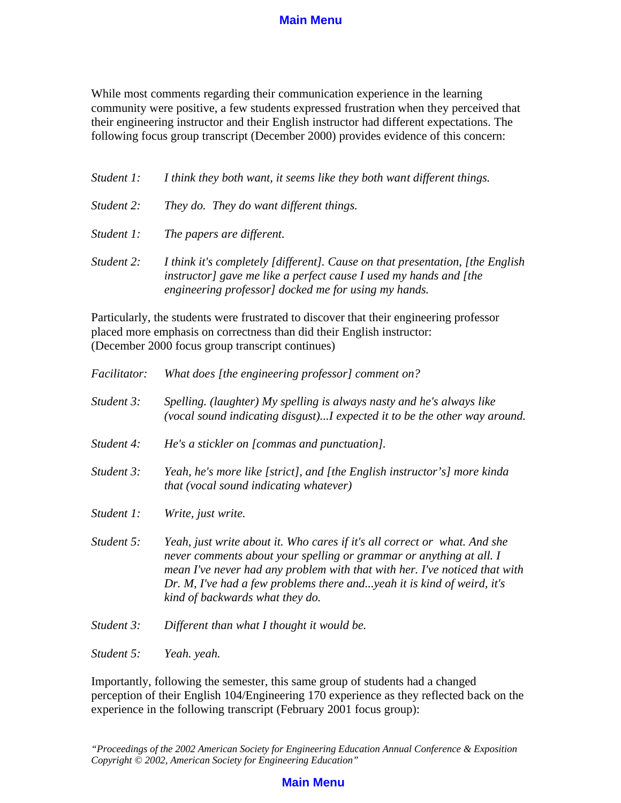While most comments regarding their communication experience in the learning community were positive, a few students expressed frustration when they perceived that their engineering instructor and their English instructor had different expectations. The following focus group transcript (December 2000) provides evidence of this concern:

| Student 1: | I think they both want, it seems like they both want different things.                                                                                                                                      |
|------------|-------------------------------------------------------------------------------------------------------------------------------------------------------------------------------------------------------------|
| Student 2: | They do. They do want different things.                                                                                                                                                                     |
| Student 1: | The papers are different.                                                                                                                                                                                   |
| Student 2: | I think it's completely [different]. Cause on that presentation, [the English]<br>instructor] gave me like a perfect cause I used my hands and [the<br>engineering professor] docked me for using my hands. |

Particularly, the students were frustrated to discover that their engineering professor placed more emphasis on correctness than did their English instructor: (December 2000 focus group transcript continues)

| Facilitator: | What does [the engineering professor] comment on?                                                                                                                                                                                                                                                                                           |
|--------------|---------------------------------------------------------------------------------------------------------------------------------------------------------------------------------------------------------------------------------------------------------------------------------------------------------------------------------------------|
| Student 3:   | Spelling. (laughter) My spelling is always nasty and he's always like<br>(vocal sound indicating disgust)I expected it to be the other way around.                                                                                                                                                                                          |
| Student 4:   | He's a stickler on [commas and punctuation].                                                                                                                                                                                                                                                                                                |
| Student 3:   | Yeah, he's more like [strict], and [the English instructor's] more kinda<br><i>that (vocal sound indicating whatever)</i>                                                                                                                                                                                                                   |
| Student 1:   | Write, just write.                                                                                                                                                                                                                                                                                                                          |
| Student 5:   | Yeah, just write about it. Who cares if it's all correct or what. And she<br>never comments about your spelling or grammar or anything at all. I<br>mean I've never had any problem with that with her. I've noticed that with<br>Dr. M, I've had a few problems there andyeah it is kind of weird, it's<br>kind of backwards what they do. |
| Student 3:   | Different than what I thought it would be.                                                                                                                                                                                                                                                                                                  |
| Student 5:   | Yeah. yeah.                                                                                                                                                                                                                                                                                                                                 |

Importantly, following the semester, this same group of students had a changed perception of their English 104/Engineering 170 experience as they reflected back on the experience in the following transcript (February 2001 focus group):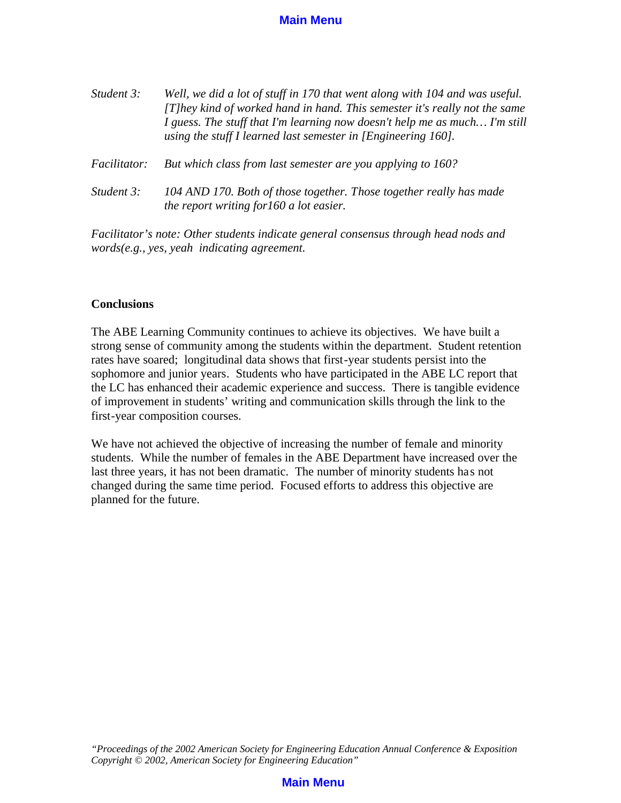| Student 3:          | Well, we did a lot of stuff in 170 that went along with 104 and was useful.<br>[T]hey kind of worked hand in hand. This semester it's really not the same<br>I guess. The stuff that I'm learning now doesn't help me as much I'm still<br>using the stuff I learned last semester in $[Engineering 160]$ . |
|---------------------|-------------------------------------------------------------------------------------------------------------------------------------------------------------------------------------------------------------------------------------------------------------------------------------------------------------|
| <i>Facilitator:</i> | But which class from last semester are you applying to 160?                                                                                                                                                                                                                                                 |
| Student 3:          | 104 AND 170. Both of those together. Those together really has made<br>the report writing for 160 a lot easier.                                                                                                                                                                                             |

*Facilitator's note: Other students indicate general consensus through head nods and words(e.g., yes, yeah indicating agreement.*

#### **Conclusions**

The ABE Learning Community continues to achieve its objectives. We have built a strong sense of community among the students within the department. Student retention rates have soared; longitudinal data shows that first-year students persist into the sophomore and junior years. Students who have participated in the ABE LC report that the LC has enhanced their academic experience and success. There is tangible evidence of improvement in students' writing and communication skills through the link to the first-year composition courses.

We have not achieved the objective of increasing the number of female and minority students. While the number of females in the ABE Department have increased over the last three years, it has not been dramatic. The number of minority students has not changed during the same time period. Focused efforts to address this objective are planned for the future.